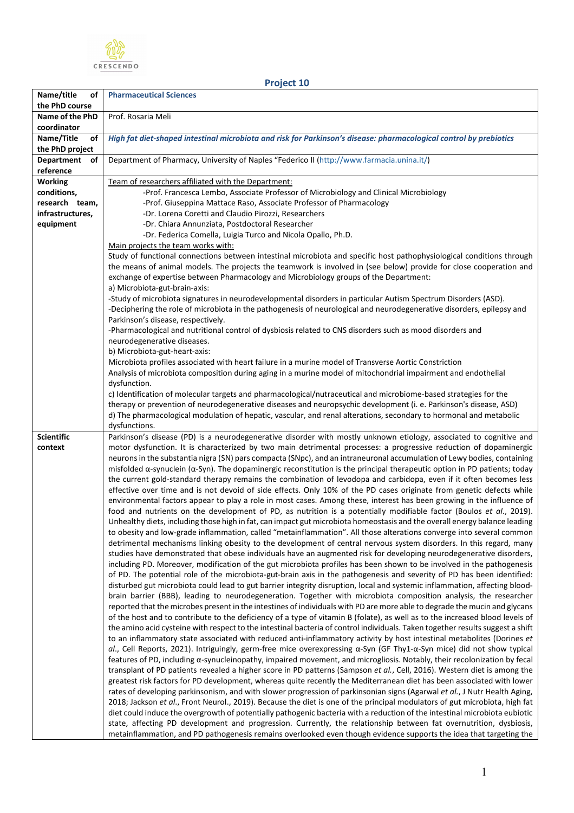

**Project 10**

| Name/title<br>οf                  | <b>Pharmaceutical Sciences</b>                                                                                                                                                                                                                             |
|-----------------------------------|------------------------------------------------------------------------------------------------------------------------------------------------------------------------------------------------------------------------------------------------------------|
| the PhD course<br>Name of the PhD | Prof. Rosaria Meli                                                                                                                                                                                                                                         |
| coordinator                       |                                                                                                                                                                                                                                                            |
| Name/Title<br>of                  | High fat diet-shaped intestinal microbiota and risk for Parkinson's disease: pharmacological control by prebiotics                                                                                                                                         |
| the PhD project                   |                                                                                                                                                                                                                                                            |
| <b>Department</b><br>οf           | Department of Pharmacy, University of Naples "Federico II (http://www.farmacia.unina.it/)                                                                                                                                                                  |
| reference                         |                                                                                                                                                                                                                                                            |
| <b>Working</b>                    | Team of researchers affiliated with the Department:                                                                                                                                                                                                        |
| conditions,                       | -Prof. Francesca Lembo, Associate Professor of Microbiology and Clinical Microbiology                                                                                                                                                                      |
| research team,                    | -Prof. Giuseppina Mattace Raso, Associate Professor of Pharmacology                                                                                                                                                                                        |
| infrastructures,                  | -Dr. Lorena Coretti and Claudio Pirozzi, Researchers                                                                                                                                                                                                       |
| equipment                         | -Dr. Chiara Annunziata, Postdoctoral Researcher<br>-Dr. Federica Comella, Luigia Turco and Nicola Opallo, Ph.D.                                                                                                                                            |
|                                   | Main projects the team works with:                                                                                                                                                                                                                         |
|                                   | Study of functional connections between intestinal microbiota and specific host pathophysiological conditions through                                                                                                                                      |
|                                   | the means of animal models. The projects the teamwork is involved in (see below) provide for close cooperation and                                                                                                                                         |
|                                   | exchange of expertise between Pharmacology and Microbiology groups of the Department:                                                                                                                                                                      |
|                                   | a) Microbiota-gut-brain-axis:                                                                                                                                                                                                                              |
|                                   | -Study of microbiota signatures in neurodevelopmental disorders in particular Autism Spectrum Disorders (ASD).                                                                                                                                             |
|                                   | -Deciphering the role of microbiota in the pathogenesis of neurological and neurodegenerative disorders, epilepsy and                                                                                                                                      |
|                                   | Parkinson's disease, respectively.                                                                                                                                                                                                                         |
|                                   | -Pharmacological and nutritional control of dysbiosis related to CNS disorders such as mood disorders and<br>neurodegenerative diseases.                                                                                                                   |
|                                   | b) Microbiota-gut-heart-axis:                                                                                                                                                                                                                              |
|                                   | Microbiota profiles associated with heart failure in a murine model of Transverse Aortic Constriction                                                                                                                                                      |
|                                   | Analysis of microbiota composition during aging in a murine model of mitochondrial impairment and endothelial                                                                                                                                              |
|                                   | dysfunction.                                                                                                                                                                                                                                               |
|                                   | c) Identification of molecular targets and pharmacological/nutraceutical and microbiome-based strategies for the                                                                                                                                           |
|                                   | therapy or prevention of neurodegenerative diseases and neuropsychic development (i. e. Parkinson's disease, ASD)                                                                                                                                          |
|                                   | d) The pharmacological modulation of hepatic, vascular, and renal alterations, secondary to hormonal and metabolic                                                                                                                                         |
| <b>Scientific</b>                 | dysfunctions.<br>Parkinson's disease (PD) is a neurodegenerative disorder with mostly unknown etiology, associated to cognitive and                                                                                                                        |
| context                           | motor dysfunction. It is characterized by two main detrimental processes: a progressive reduction of dopaminergic                                                                                                                                          |
|                                   | neurons in the substantia nigra (SN) pars compacta (SNpc), and an intraneuronal accumulation of Lewy bodies, containing                                                                                                                                    |
|                                   | misfolded $\alpha$ -synuclein ( $\alpha$ -Syn). The dopaminergic reconstitution is the principal therapeutic option in PD patients; today                                                                                                                  |
|                                   | the current gold-standard therapy remains the combination of levodopa and carbidopa, even if it often becomes less                                                                                                                                         |
|                                   | effective over time and is not devoid of side effects. Only 10% of the PD cases originate from genetic defects while                                                                                                                                       |
|                                   | environmental factors appear to play a role in most cases. Among these, interest has been growing in the influence of                                                                                                                                      |
|                                   | food and nutrients on the development of PD, as nutrition is a potentially modifiable factor (Boulos et al., 2019).<br>Unhealthy diets, including those high in fat, can impact gut microbiota homeostasis and the overall energy balance leading          |
|                                   | to obesity and low-grade inflammation, called "metainflammation". All those alterations converge into several common                                                                                                                                       |
|                                   | detrimental mechanisms linking obesity to the development of central nervous system disorders. In this regard, many                                                                                                                                        |
|                                   | studies have demonstrated that obese individuals have an augmented risk for developing neurodegenerative disorders,                                                                                                                                        |
|                                   | including PD. Moreover, modification of the gut microbiota profiles has been shown to be involved in the pathogenesis                                                                                                                                      |
|                                   | of PD. The potential role of the microbiota-gut-brain axis in the pathogenesis and severity of PD has been identified:                                                                                                                                     |
|                                   | disturbed gut microbiota could lead to gut barrier integrity disruption, local and systemic inflammation, affecting blood-                                                                                                                                 |
|                                   | brain barrier (BBB), leading to neurodegeneration. Together with microbiota composition analysis, the researcher                                                                                                                                           |
|                                   | reported that the microbes present in the intestines of individuals with PD are more able to degrade the mucin and glycans<br>of the host and to contribute to the deficiency of a type of vitamin B (folate), as well as to the increased blood levels of |
|                                   | the amino acid cysteine with respect to the intestinal bacteria of control individuals. Taken together results suggest a shift                                                                                                                             |
|                                   | to an inflammatory state associated with reduced anti-inflammatory activity by host intestinal metabolites (Dorines et                                                                                                                                     |
|                                   | al., Cell Reports, 2021). Intriguingly, germ-free mice overexpressing a-Syn (GF Thy1-a-Syn mice) did not show typical                                                                                                                                      |
|                                   | features of PD, including α-synucleinopathy, impaired movement, and microgliosis. Notably, their recolonization by fecal                                                                                                                                   |
|                                   | transplant of PD patients revealed a higher score in PD patterns (Sampson et al., Cell, 2016). Western diet is among the                                                                                                                                   |
|                                   | greatest risk factors for PD development, whereas quite recently the Mediterranean diet has been associated with lower                                                                                                                                     |
|                                   | rates of developing parkinsonism, and with slower progression of parkinsonian signs (Agarwal et al., J Nutr Health Aging,                                                                                                                                  |
|                                   | 2018; Jackson et al., Front Neurol., 2019). Because the diet is one of the principal modulators of gut microbiota, high fat                                                                                                                                |
|                                   | diet could induce the overgrowth of potentially pathogenic bacteria with a reduction of the intestinal microbiota eubiotic<br>state, affecting PD development and progression. Currently, the relationship between fat overnutrition, dysbiosis,           |
|                                   | metainflammation, and PD pathogenesis remains overlooked even though evidence supports the idea that targeting the                                                                                                                                         |
|                                   |                                                                                                                                                                                                                                                            |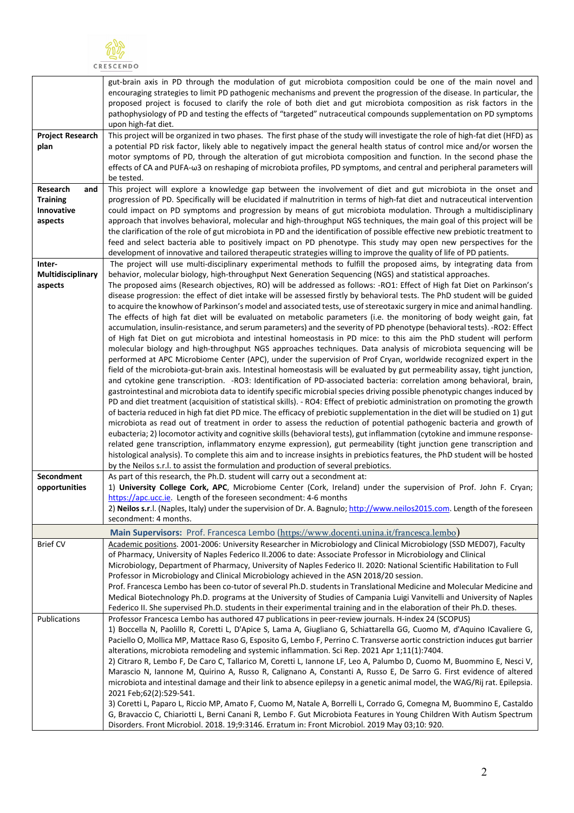

|                                                             | gut-brain axis in PD through the modulation of gut microbiota composition could be one of the main novel and<br>encouraging strategies to limit PD pathogenic mechanisms and prevent the progression of the disease. In particular, the<br>proposed project is focused to clarify the role of both diet and gut microbiota composition as risk factors in the<br>pathophysiology of PD and testing the effects of "targeted" nutraceutical compounds supplementation on PD symptoms                                                                                                                                                                                                                                                                                                                                                                                               |
|-------------------------------------------------------------|-----------------------------------------------------------------------------------------------------------------------------------------------------------------------------------------------------------------------------------------------------------------------------------------------------------------------------------------------------------------------------------------------------------------------------------------------------------------------------------------------------------------------------------------------------------------------------------------------------------------------------------------------------------------------------------------------------------------------------------------------------------------------------------------------------------------------------------------------------------------------------------|
|                                                             | upon high-fat diet.                                                                                                                                                                                                                                                                                                                                                                                                                                                                                                                                                                                                                                                                                                                                                                                                                                                               |
| <b>Project Research</b><br>plan                             | This project will be organized in two phases. The first phase of the study will investigate the role of high-fat diet (HFD) as<br>a potential PD risk factor, likely able to negatively impact the general health status of control mice and/or worsen the<br>motor symptoms of PD, through the alteration of gut microbiota composition and function. In the second phase the                                                                                                                                                                                                                                                                                                                                                                                                                                                                                                    |
|                                                             | effects of CA and PUFA- $\omega$ 3 on reshaping of microbiota profiles, PD symptoms, and central and peripheral parameters will<br>be tested.                                                                                                                                                                                                                                                                                                                                                                                                                                                                                                                                                                                                                                                                                                                                     |
| Research<br>and<br><b>Training</b><br>Innovative<br>aspects | This project will explore a knowledge gap between the involvement of diet and gut microbiota in the onset and<br>progression of PD. Specifically will be elucidated if malnutrition in terms of high-fat diet and nutraceutical intervention<br>could impact on PD symptoms and progression by means of gut microbiota modulation. Through a multidisciplinary<br>approach that involves behavioral, molecular and high-throughput NGS techniques, the main goal of this project will be<br>the clarification of the role of gut microbiota in PD and the identification of possible effective new prebiotic treatment to<br>feed and select bacteria able to positively impact on PD phenotype. This study may open new perspectives for the                                                                                                                                     |
|                                                             | development of innovative and tailored therapeutic strategies willing to improve the quality of life of PD patients.                                                                                                                                                                                                                                                                                                                                                                                                                                                                                                                                                                                                                                                                                                                                                              |
| Inter-<br>Multidisciplinary<br>aspects                      | The project will use multi-disciplinary experimental methods to fulfill the proposed aims, by integrating data from<br>behavior, molecular biology, high-throughput Next Generation Sequencing (NGS) and statistical approaches.<br>The proposed aims (Research objectives, RO) will be addressed as follows: -RO1: Effect of High fat Diet on Parkinson's<br>disease progression: the effect of diet intake will be assessed firstly by behavioral tests. The PhD student will be guided<br>to acquire the knowhow of Parkinson's model and associated tests, use of stereotaxic surgery in mice and animal handling.<br>The effects of high fat diet will be evaluated on metabolic parameters (i.e. the monitoring of body weight gain, fat<br>accumulation, insulin-resistance, and serum parameters) and the severity of PD phenotype (behavioral tests). -RO2: Effect       |
|                                                             | of High fat Diet on gut microbiota and intestinal homeostasis in PD mice: to this aim the PhD student will perform<br>molecular biology and high-throughput NGS approaches techniques. Data analysis of microbiota sequencing will be<br>performed at APC Microbiome Center (APC), under the supervision of Prof Cryan, worldwide recognized expert in the<br>field of the microbiota-gut-brain axis. Intestinal homeostasis will be evaluated by gut permeability assay, tight junction,<br>and cytokine gene transcription. - RO3: Identification of PD-associated bacteria: correlation among behavioral, brain,<br>gastrointestinal and microbiota data to identify specific microbial species driving possible phenotypic changes induced by<br>PD and diet treatment (acquisition of statistical skills). - RO4: Effect of prebiotic administration on promoting the growth |
|                                                             | of bacteria reduced in high fat diet PD mice. The efficacy of prebiotic supplementation in the diet will be studied on 1) gut<br>microbiota as read out of treatment in order to assess the reduction of potential pathogenic bacteria and growth of<br>eubacteria; 2) locomotor activity and cognitive skills (behavioral tests), gut inflammation (cytokine and immune response-<br>related gene transcription, inflammatory enzyme expression), gut permeability (tight junction gene transcription and<br>histological analysis). To complete this aim and to increase insights in prebiotics features, the PhD student will be hosted<br>by the Neilos s.r.l. to assist the formulation and production of several prebiotics.                                                                                                                                                |
| Secondment                                                  | As part of this research, the Ph.D. student will carry out a secondment at:                                                                                                                                                                                                                                                                                                                                                                                                                                                                                                                                                                                                                                                                                                                                                                                                       |
| opportunities                                               | 1) University College Cork, APC, Microbiome Center (Cork, Ireland) under the supervision of Prof. John F. Cryan;                                                                                                                                                                                                                                                                                                                                                                                                                                                                                                                                                                                                                                                                                                                                                                  |
|                                                             | https://apc.ucc.ie. Length of the foreseen secondment: 4-6 months                                                                                                                                                                                                                                                                                                                                                                                                                                                                                                                                                                                                                                                                                                                                                                                                                 |
|                                                             | 2) Neilos s.r.l. (Naples, Italy) under the supervision of Dr. A. Bagnulo; http://www.neilos2015.com. Length of the foreseen<br>secondment: 4 months.                                                                                                                                                                                                                                                                                                                                                                                                                                                                                                                                                                                                                                                                                                                              |
|                                                             | Main Supervisors: Prof. Francesca Lembo (https://www.docenti.unina.it/francesca.lembo)                                                                                                                                                                                                                                                                                                                                                                                                                                                                                                                                                                                                                                                                                                                                                                                            |
| <b>Brief CV</b>                                             | Academic positions. 2001-2006: University Researcher in Microbiology and Clinical Microbiology (SSD MED07), Faculty                                                                                                                                                                                                                                                                                                                                                                                                                                                                                                                                                                                                                                                                                                                                                               |
|                                                             | of Pharmacy, University of Naples Federico II.2006 to date: Associate Professor in Microbiology and Clinical                                                                                                                                                                                                                                                                                                                                                                                                                                                                                                                                                                                                                                                                                                                                                                      |
|                                                             | Microbiology, Department of Pharmacy, University of Naples Federico II. 2020: National Scientific Habilitation to Full<br>Professor in Microbiology and Clinical Microbiology achieved in the ASN 2018/20 session.                                                                                                                                                                                                                                                                                                                                                                                                                                                                                                                                                                                                                                                                |
|                                                             | Prof. Francesca Lembo has been co-tutor of several Ph.D. students in Translational Medicine and Molecular Medicine and                                                                                                                                                                                                                                                                                                                                                                                                                                                                                                                                                                                                                                                                                                                                                            |
|                                                             | Medical Biotechnology Ph.D. programs at the University of Studies of Campania Luigi Vanvitelli and University of Naples                                                                                                                                                                                                                                                                                                                                                                                                                                                                                                                                                                                                                                                                                                                                                           |
|                                                             | Federico II. She supervised Ph.D. students in their experimental training and in the elaboration of their Ph.D. theses.                                                                                                                                                                                                                                                                                                                                                                                                                                                                                                                                                                                                                                                                                                                                                           |
| Publications                                                | Professor Francesca Lembo has authored 47 publications in peer-review journals. H-index 24 (SCOPUS)<br>1) Boccella N, Paolillo R, Coretti L, D'Apice S, Lama A, Giugliano G, Schiattarella GG, Cuomo M, d'Aquino ICavaliere G,<br>Paciello O, Mollica MP, Mattace Raso G, Esposito G, Lembo F, Perrino C. Transverse aortic constriction induces gut barrier<br>alterations, microbiota remodeling and systemic inflammation. Sci Rep. 2021 Apr 1;11(1):7404.                                                                                                                                                                                                                                                                                                                                                                                                                     |
|                                                             | 2) Citraro R, Lembo F, De Caro C, Tallarico M, Coretti L, Iannone LF, Leo A, Palumbo D, Cuomo M, Buommino E, Nesci V,<br>Marascio N, Iannone M, Quirino A, Russo R, Calignano A, Constanti A, Russo E, De Sarro G. First evidence of altered<br>microbiota and intestinal damage and their link to absence epilepsy in a genetic animal model, the WAG/Rij rat. Epilepsia.<br>2021 Feb;62(2):529-541.                                                                                                                                                                                                                                                                                                                                                                                                                                                                             |
|                                                             | 3) Coretti L, Paparo L, Riccio MP, Amato F, Cuomo M, Natale A, Borrelli L, Corrado G, Comegna M, Buommino E, Castaldo<br>G, Bravaccio C, Chiariotti L, Berni Canani R, Lembo F. Gut Microbiota Features in Young Children With Autism Spectrum<br>Disorders. Front Microbiol. 2018. 19;9:3146. Erratum in: Front Microbiol. 2019 May 03;10: 920.                                                                                                                                                                                                                                                                                                                                                                                                                                                                                                                                  |